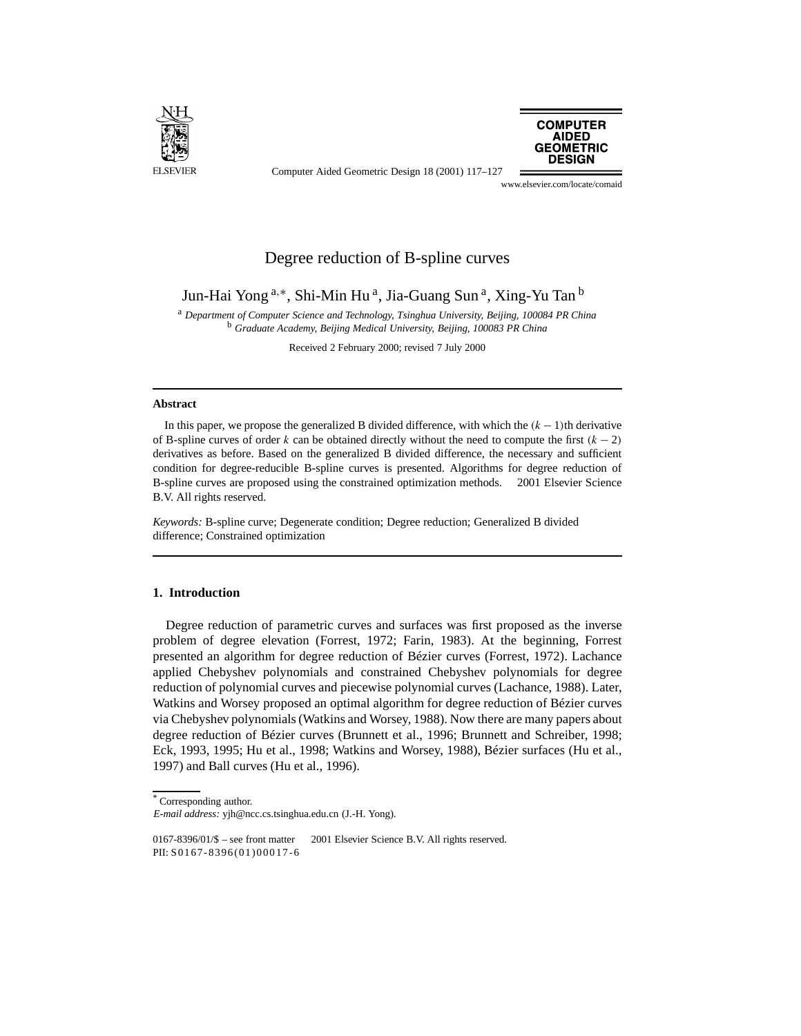

Computer Aided Geometric Design 18 (2001) 117–127



www.elsevier.com/locate/comaid

# Degree reduction of B-spline curves

Jun-Hai Yong<sup>a,∗</sup>, Shi-Min Hu<sup>a</sup>, Jia-Guang Sun<sup>a</sup>, Xing-Yu Tan<sup>b</sup>

<sup>a</sup> *Department of Computer Science and Technology, Tsinghua University, Beijing, 100084 PR China* <sup>b</sup> *Graduate Academy, Beijing Medical University, Beijing, 100083 PR China*

Received 2 February 2000; revised 7 July 2000

## **Abstract**

In this paper, we propose the generalized B divided difference, with which the *(k* − 1*)*th derivative of B-spline curves of order *k* can be obtained directly without the need to compute the first  $(k - 2)$ derivatives as before. Based on the generalized B divided difference, the necessary and sufficient condition for degree-reducible B-spline curves is presented. Algorithms for degree reduction of B-spline curves are proposed using the constrained optimization methods.  $\odot$  2001 Elsevier Science B.V. All rights reserved.

*Keywords:* B-spline curve; Degenerate condition; Degree reduction; Generalized B divided difference; Constrained optimization

# **1. Introduction**

Degree reduction of parametric curves and surfaces was first proposed as the inverse problem of degree elevation (Forrest, 1972; Farin, 1983). At the beginning, Forrest presented an algorithm for degree reduction of Bézier curves (Forrest, 1972). Lachance applied Chebyshev polynomials and constrained Chebyshev polynomials for degree reduction of polynomial curves and piecewise polynomial curves (Lachance, 1988). Later, Watkins and Worsey proposed an optimal algorithm for degree reduction of Bézier curves via Chebyshev polynomials (Watkins and Worsey, 1988). Now there are many papers about degree reduction of Bézier curves (Brunnett et al., 1996; Brunnett and Schreiber, 1998; Eck, 1993, 1995; Hu et al., 1998; Watkins and Worsey, 1988), Bézier surfaces (Hu et al., 1997) and Ball curves (Hu et al., 1996).

<sup>\*</sup> Corresponding author.

*E-mail address:* yjh@ncc.cs.tsinghua.edu.cn (J.-H. Yong).

<sup>0167-8396/01/\$ –</sup> see front matter  $\degree$  2001 Elsevier Science B.V. All rights reserved. PII: S0167-8396(01)0 00 17 -6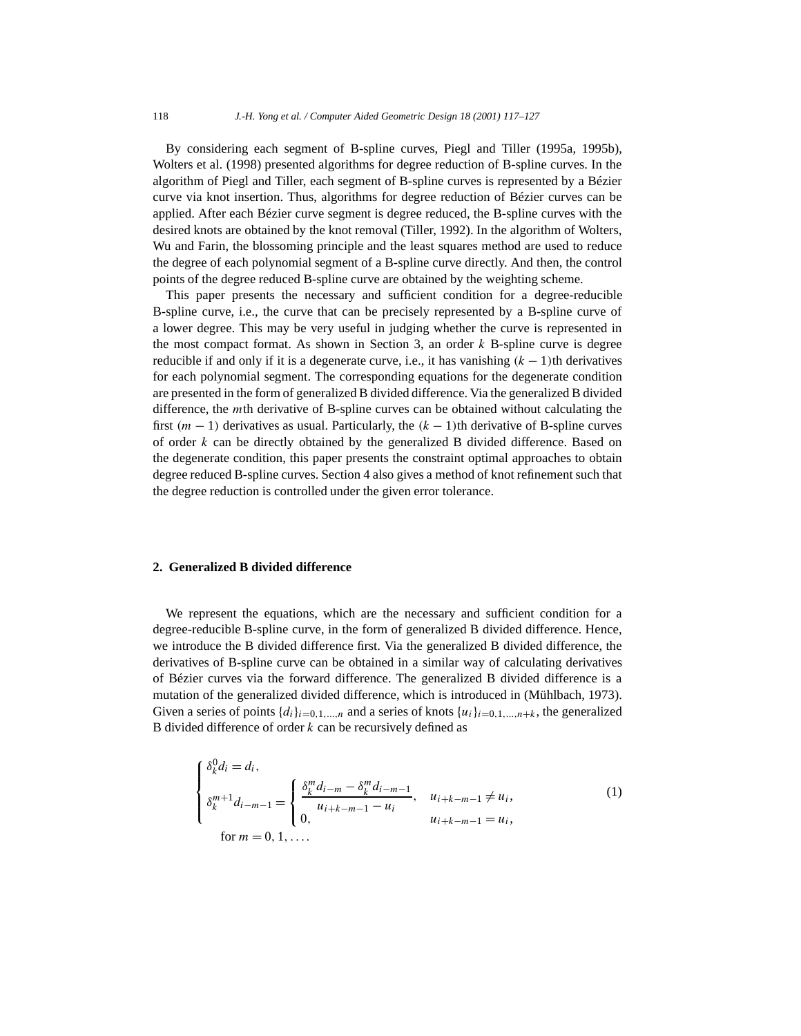By considering each segment of B-spline curves, Piegl and Tiller (1995a, 1995b), Wolters et al. (1998) presented algorithms for degree reduction of B-spline curves. In the algorithm of Piegl and Tiller, each segment of B-spline curves is represented by a Bézier curve via knot insertion. Thus, algorithms for degree reduction of Bézier curves can be applied. After each Bézier curve segment is degree reduced, the B-spline curves with the desired knots are obtained by the knot removal (Tiller, 1992). In the algorithm of Wolters, Wu and Farin, the blossoming principle and the least squares method are used to reduce the degree of each polynomial segment of a B-spline curve directly. And then, the control points of the degree reduced B-spline curve are obtained by the weighting scheme.

This paper presents the necessary and sufficient condition for a degree-reducible B-spline curve, i.e., the curve that can be precisely represented by a B-spline curve of a lower degree. This may be very useful in judging whether the curve is represented in the most compact format. As shown in Section 3, an order *k* B-spline curve is degree reducible if and only if it is a degenerate curve, i.e., it has vanishing  $(k - 1)$ th derivatives for each polynomial segment. The corresponding equations for the degenerate condition are presented in the form of generalized B divided difference. Via the generalized B divided difference, the *m*th derivative of B-spline curves can be obtained without calculating the first *(m* − 1*)* derivatives as usual. Particularly, the *(k* − 1*)*th derivative of B-spline curves of order *k* can be directly obtained by the generalized B divided difference. Based on the degenerate condition, this paper presents the constraint optimal approaches to obtain degree reduced B-spline curves. Section 4 also gives a method of knot refinement such that the degree reduction is controlled under the given error tolerance.

# **2. Generalized B divided difference**

We represent the equations, which are the necessary and sufficient condition for a degree-reducible B-spline curve, in the form of generalized B divided difference. Hence, we introduce the B divided difference first. Via the generalized B divided difference, the derivatives of B-spline curve can be obtained in a similar way of calculating derivatives of Bézier curves via the forward difference. The generalized B divided difference is a mutation of the generalized divided difference, which is introduced in (Mühlbach, 1973). Given a series of points  $\{d_i\}_{i=0,1,\dots,n}$  and a series of knots  $\{u_i\}_{i=0,1,\dots,n+k}$ , the generalized B divided difference of order *k* can be recursively defined as

$$
\begin{cases}\n\delta_k^0 d_i = d_i, \\
\delta_k^{m+1} d_{i-m-1} = \begin{cases}\n\frac{\delta_k^m d_{i-m} - \delta_k^m d_{i-m-1}}{u_{i+k-m-1} - u_i}, & u_{i+k-m-1} \neq u_i, \\
0, & u_{i+k-m-1} = u_i,\n\end{cases}
$$
\nfor  $m = 0, 1, \ldots$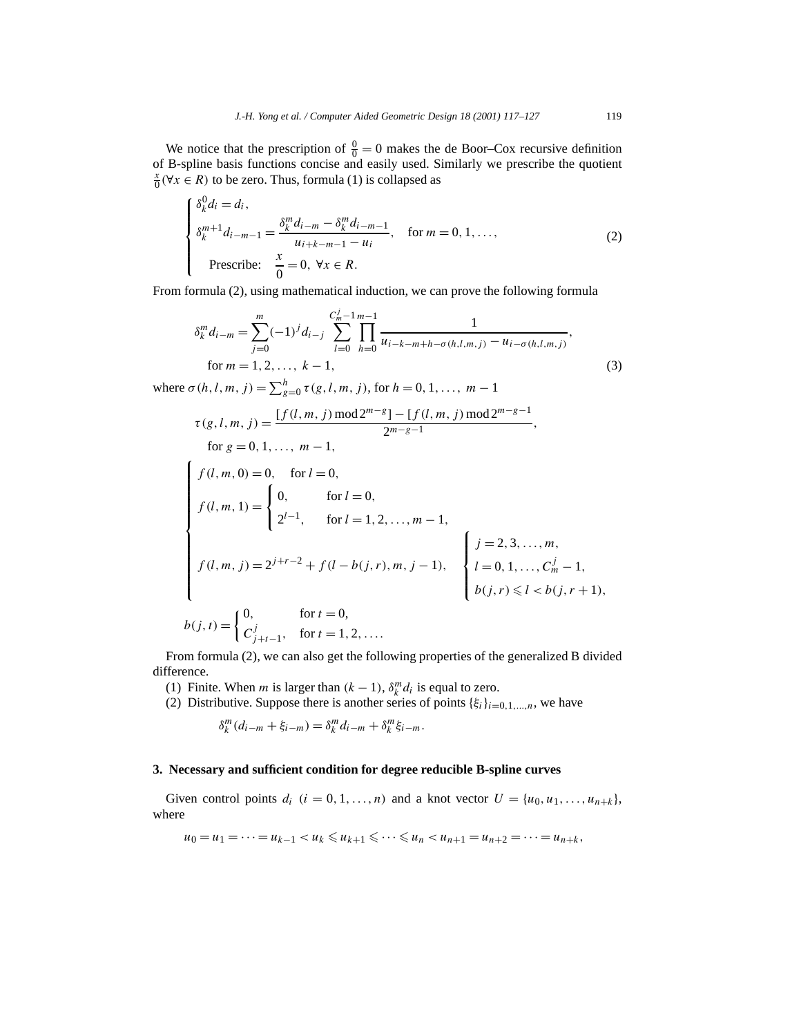We notice that the prescription of  $\frac{0}{0} = 0$  makes the de Boor–Cox recursive definition of B-spline basis functions concise and easily used. Similarly we prescribe the quotient  $\frac{x}{0}$ (∀*x* ∈ *R*) to be zero. Thus, formula (1) is collapsed as

$$
\begin{cases}\n\delta_k^0 d_i = d_i, \\
\delta_k^{m+1} d_{i-m-1} = \frac{\delta_k^m d_{i-m} - \delta_k^m d_{i-m-1}}{u_{i+k-m-1} - u_i}, \quad \text{for } m = 0, 1, \dots, \\
\text{Prescribe:} \quad \frac{x}{0} = 0, \ \forall x \in R.\n\end{cases}
$$
\n(2)

From formula (2), using mathematical induction, we can prove the following formula

$$
\delta_k^m d_{i-m} = \sum_{j=0}^m (-1)^j d_{i-j} \sum_{l=0}^{C_m^j - 1} \prod_{h=0}^{m-1} \frac{1}{u_{i-k-m+h-\sigma(h,l,m,j)} - u_{i-\sigma(h,l,m,j)}},
$$
  
for  $m = 1, 2, ..., k-1$ , (3)

where  $\sigma(h, l, m, j) = \sum_{g=0}^{h} \tau(g, l, m, j)$ , for  $h = 0, 1, ..., m - 1$ 

$$
\tau(g, l, m, j) = \frac{[f(l, m, j) \mod 2^{m-g}] - [f(l, m, j) \mod 2^{m-g-1}]}{2^{m-g-1}},
$$
  
for  $g = 0, 1, ..., m - 1$ ,  

$$
\begin{cases}\nf(l, m, 0) = 0, & \text{for } l = 0, \\
f(l, m, 1) = \begin{cases}\n0, & \text{for } l = 0, \\
2^{l-1}, & \text{for } l = 1, 2, ..., m - 1,\n\end{cases} \\
f(l, m, j) = 2^{j+r-2} + f(l - b(j, r), m, j - 1), & \begin{cases}\nj = 2, 3, ..., m, \\
l = 0, 1, ..., C_m^j - b(j, r) \le l < b(j, r)\n\end{cases}
$$

$$
f(l, m, j) = 2^{j+r-2} + f(l - b(j, r), m, j - 1),
$$

$$
\begin{cases} j = 2, 3, ..., m, \\ l = 0, 1, ..., C_m^j - 1, \\ b(j, r) \le l < b(j, r + 1), \end{cases}
$$

$$
b(j,t) = \begin{cases} 0, & \text{for } t = 0, \\ C_{j+t-1}^j, & \text{for } t = 1, 2, \dots. \end{cases}
$$

From formula (2), we can also get the following properties of the generalized B divided difference.

(1) Finite. When *m* is larger than  $(k - 1)$ ,  $\delta_k^m d_i$  is equal to zero.

(2) Distributive. Suppose there is another series of points  $\{\xi_i\}_{i=0,1,\dots,n}$ , we have

$$
\delta_k^m(d_{i-m}+\xi_{i-m})=\delta_k^m d_{i-m}+\delta_k^m \xi_{i-m}.
$$

### **3. Necessary and sufficient condition for degree reducible B-spline curves**

Given control points  $d_i$   $(i = 0, 1, \ldots, n)$  and a knot vector  $U = \{u_0, u_1, \ldots, u_{n+k}\},\$ where

$$
u_0 = u_1 = \cdots = u_{k-1} < u_k \leq u_{k+1} \leq \cdots \leq u_n < u_{n+1} = u_{n+2} = \cdots = u_{n+k}
$$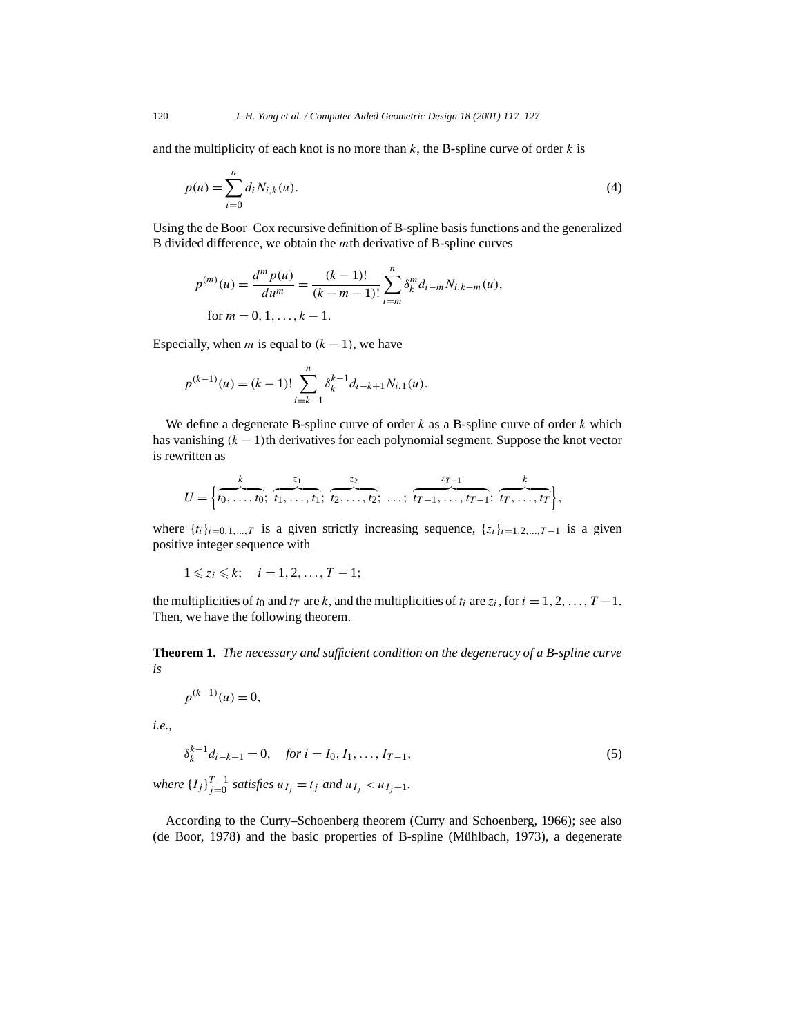and the multiplicity of each knot is no more than  $k$ , the B-spline curve of order  $k$  is

$$
p(u) = \sum_{i=0}^{n} d_i N_{i,k}(u).
$$
 (4)

Using the de Boor–Cox recursive definition of B-spline basis functions and the generalized B divided difference, we obtain the *m*th derivative of B-spline curves

$$
p^{(m)}(u) = \frac{d^m p(u)}{du^m} = \frac{(k-1)!}{(k-m-1)!} \sum_{i=m}^n \delta_k^m d_{i-m} N_{i,k-m}(u),
$$
  
for  $m = 0, 1, ..., k-1$ .

Especially, when *m* is equal to  $(k - 1)$ , we have

$$
p^{(k-1)}(u) = (k-1)! \sum_{i=k-1}^{n} \delta_k^{k-1} d_{i-k+1} N_{i,1}(u).
$$

We define a degenerate B-spline curve of order *k* as a B-spline curve of order *k* which has vanishing *(k* − 1*)*th derivatives for each polynomial segment. Suppose the knot vector is rewritten as

$$
U = \left\{ \overbrace{t_0, \ldots, t_0}^{k}; \ \overbrace{t_1, \ldots, t_1}^{z_1}; \ \overbrace{t_2, \ldots, t_2}^{z_2}; \ \ldots; \ \overbrace{t_{T-1}, \ldots, t_{T-1}}^{z_{T-1}}; \ \overbrace{t_T, \ldots, t_T}^{k} \right\}
$$

where  $\{t_i\}_{i=0,1,\dots,T}$  is a given strictly increasing sequence,  $\{z_i\}_{i=1,2,\dots,T-1}$  is a given positive integer sequence with

*,*

$$
1\leqslant z_i\leqslant k;\quad i=1,2,\ldots,T-1;
$$

the multiplicities of  $t_0$  and  $t_T$  are  $k$ , and the multiplicities of  $t_i$  are  $z_i$ , for  $i = 1, 2, ..., T - 1$ . Then, we have the following theorem.

**Theorem 1.** *The necessary and sufficient condition on the degeneracy of a B-spline curve is*

$$
p^{(k-1)}(u) = 0,
$$

*i.e.,*

$$
\delta_k^{k-1} d_{i-k+1} = 0, \quad \text{for } i = I_0, I_1, \dots, I_{T-1}, \tag{5}
$$

*where*  ${I_j}_{j=0}^{T-1}$  *satisfies*  $u_{I_j} = t_j$  *and*  $u_{I_j} < u_{I_j+1}$ *.* 

According to the Curry–Schoenberg theorem (Curry and Schoenberg, 1966); see also (de Boor, 1978) and the basic properties of B-spline (Mühlbach, 1973), a degenerate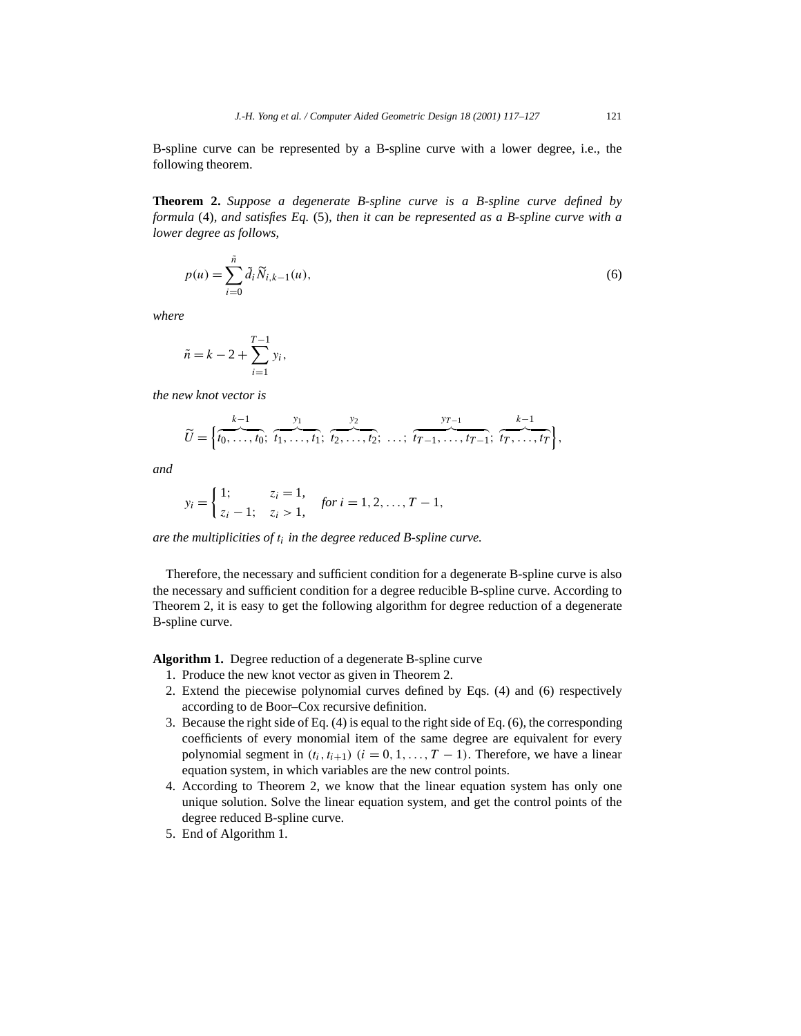B-spline curve can be represented by a B-spline curve with a lower degree, i.e., the following theorem.

**Theorem 2.** *Suppose a degenerate B-spline curve is a B-spline curve defined by formula* (4)*, and satisfies Eq.* (5)*, then it can be represented as a B-spline curve with a lower degree as follows,*

$$
p(u) = \sum_{i=0}^{\tilde{n}} \tilde{d}_i \tilde{N}_{i,k-1}(u),
$$
\n(6)

*where*

$$
\tilde{n} = k - 2 + \sum_{i=1}^{T-1} y_i,
$$

*the new knot vector is*

$$
\widetilde{U} = \left\{ \overbrace{t_0, \ldots, t_0}^{k-1}; \ \overbrace{t_1, \ldots, t_1}^{y_1}; \ \overbrace{t_2, \ldots, t_2}^{y_2}; \ \ldots; \ \overbrace{t_{T-1}, \ldots, t_{T-1}}^{y_{T-1}}; \ \overbrace{t_T, \ldots, t_T}^{k-1} \right\},
$$

*and*

$$
y_i = \begin{cases} 1; & z_i = 1, \\ z_i - 1; & z_i > 1, \end{cases} \text{ for } i = 1, 2, ..., T - 1,
$$

*are the multiplicities of ti in the degree reduced B-spline curve.*

Therefore, the necessary and sufficient condition for a degenerate B-spline curve is also the necessary and sufficient condition for a degree reducible B-spline curve. According to Theorem 2, it is easy to get the following algorithm for degree reduction of a degenerate B-spline curve.

**Algorithm 1.** Degree reduction of a degenerate B-spline curve

- 1. Produce the new knot vector as given in Theorem 2.
- 2. Extend the piecewise polynomial curves defined by Eqs. (4) and (6) respectively according to de Boor–Cox recursive definition.
- 3. Because the right side of Eq. (4) is equal to the right side of Eq. (6), the corresponding coefficients of every monomial item of the same degree are equivalent for every polynomial segment in  $(t_i, t_{i+1})$   $(i = 0, 1, \ldots, T-1)$ . Therefore, we have a linear equation system, in which variables are the new control points.
- 4. According to Theorem 2, we know that the linear equation system has only one unique solution. Solve the linear equation system, and get the control points of the degree reduced B-spline curve.
- 5. End of Algorithm 1.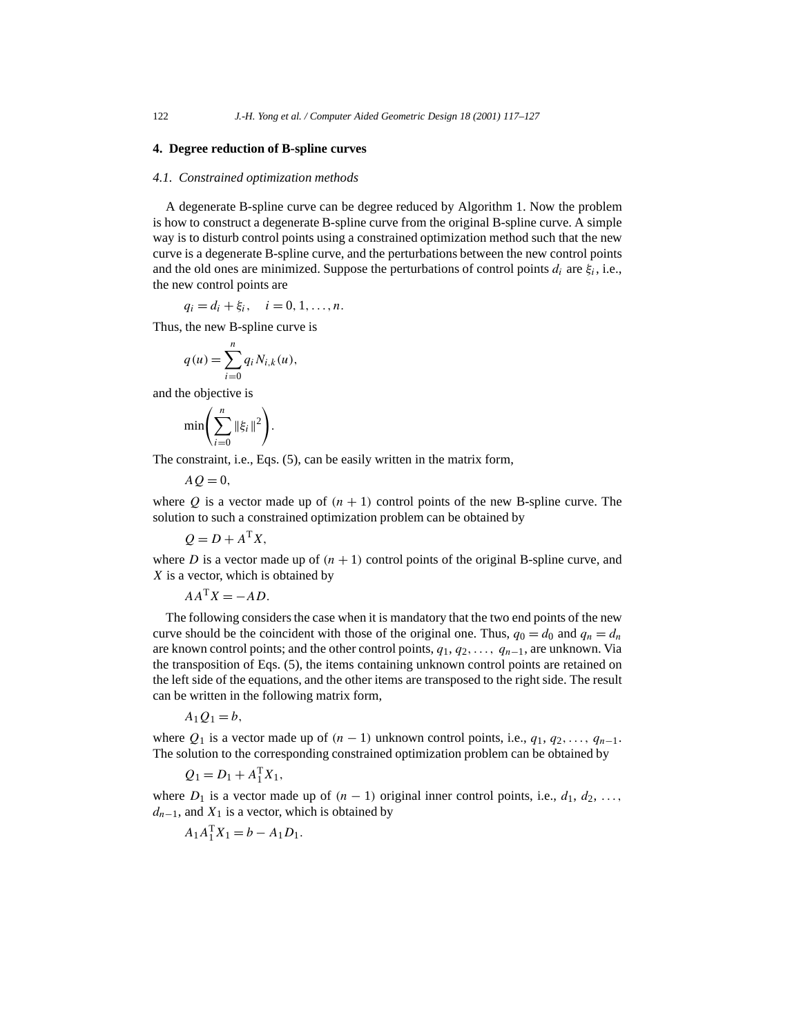## **4. Degree reduction of B-spline curves**

#### *4.1. Constrained optimization methods*

A degenerate B-spline curve can be degree reduced by Algorithm 1. Now the problem is how to construct a degenerate B-spline curve from the original B-spline curve. A simple way is to disturb control points using a constrained optimization method such that the new curve is a degenerate B-spline curve, and the perturbations between the new control points and the old ones are minimized. Suppose the perturbations of control points  $d_i$  are  $\xi_i$ , i.e., the new control points are

$$
q_i = d_i + \xi_i, \quad i = 0, 1, \ldots, n.
$$

Thus, the new B-spline curve is

$$
q(u) = \sum_{i=0}^{n} q_i N_{i,k}(u),
$$

and the objective is

$$
\min\left(\sum_{i=0}^n \|\xi_i\|^2\right).
$$

The constraint, i.e., Eqs. (5), can be easily written in the matrix form,

$$
A Q = 0,
$$

where  $Q$  is a vector made up of  $(n + 1)$  control points of the new B-spline curve. The solution to such a constrained optimization problem can be obtained by

$$
Q = D + A^{\mathrm{T}} X,
$$

where *D* is a vector made up of  $(n + 1)$  control points of the original B-spline curve, and *X* is a vector, which is obtained by

$$
AA^{\mathrm{T}}X = -AD.
$$

The following considers the case when it is mandatory that the two end points of the new curve should be the coincident with those of the original one. Thus,  $q_0 = d_0$  and  $q_n = d_n$ are known control points; and the other control points, *q*1, *q*2*,..., qn*−1, are unknown. Via the transposition of Eqs. (5), the items containing unknown control points are retained on the left side of the equations, and the other items are transposed to the right side. The result can be written in the following matrix form,

$$
A_1Q_1=b,
$$

where  $Q_1$  is a vector made up of  $(n - 1)$  unknown control points, i.e.,  $q_1, q_2, \ldots, q_{n-1}$ . The solution to the corresponding constrained optimization problem can be obtained by

$$
Q_1 = D_1 + A_1^{\mathrm{T}} X_1,
$$

where  $D_1$  is a vector made up of  $(n-1)$  original inner control points, i.e.,  $d_1, d_2, \ldots$ ,  $d_{n-1}$ , and  $X_1$  is a vector, which is obtained by

$$
A_1 A_1^{\rm T} X_1 = b - A_1 D_1.
$$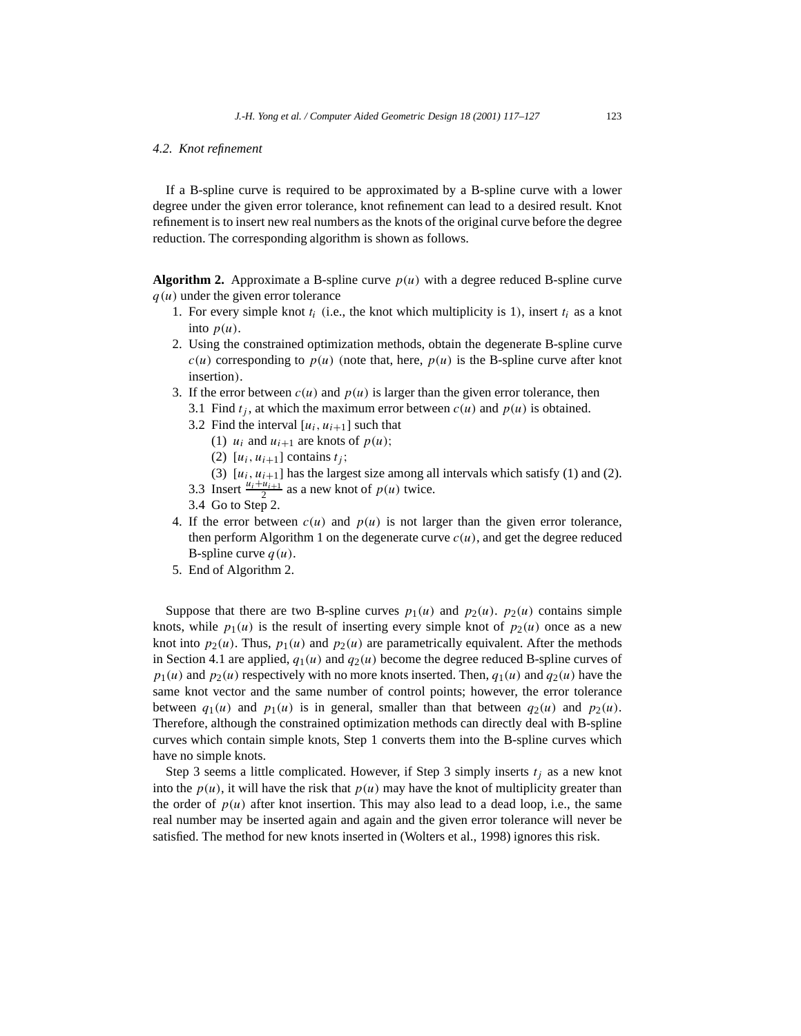### *4.2. Knot refinement*

If a B-spline curve is required to be approximated by a B-spline curve with a lower degree under the given error tolerance, knot refinement can lead to a desired result. Knot refinement is to insert new real numbers as the knots of the original curve before the degree reduction. The corresponding algorithm is shown as follows.

**Algorithm 2.** Approximate a B-spline curve  $p(u)$  with a degree reduced B-spline curve *q(u)* under the given error tolerance

- 1. For every simple knot  $t_i$  (i.e., the knot which multiplicity is 1), insert  $t_i$  as a knot into  $p(u)$ .
- 2. Using the constrained optimization methods, obtain the degenerate B-spline curve  $c(u)$  corresponding to  $p(u)$  (note that, here,  $p(u)$ ) is the B-spline curve after knot insertion*)*.
- 3. If the error between  $c(u)$  and  $p(u)$  is larger than the given error tolerance, then
	- 3.1 Find  $t_i$ , at which the maximum error between  $c(u)$  and  $p(u)$  is obtained.
	- 3.2 Find the interval  $[u_i, u_{i+1}]$  such that
		- (1)  $u_i$  and  $u_{i+1}$  are knots of  $p(u)$ ;
		- (2)  $[u_i, u_{i+1}]$  contains  $t_i$ ;
		- (3)  $[u_i, u_{i+1}]$  has the largest size among all intervals which satisfy (1) and (2).
	- 3.3 Insert  $\frac{u_i + u_{i+1}}{2}$  as a new knot of  $p(u)$  twice.
	- 3.4 Go to Step 2.
- 4. If the error between  $c(u)$  and  $p(u)$  is not larger than the given error tolerance, then perform Algorithm 1 on the degenerate curve  $c(u)$ , and get the degree reduced B-spline curve  $q(u)$ .
- 5. End of Algorithm 2.

Suppose that there are two B-spline curves  $p_1(u)$  and  $p_2(u)$ .  $p_2(u)$  contains simple knots, while  $p_1(u)$  is the result of inserting every simple knot of  $p_2(u)$  once as a new knot into  $p_2(u)$ . Thus,  $p_1(u)$  and  $p_2(u)$  are parametrically equivalent. After the methods in Section 4.1 are applied,  $q_1(u)$  and  $q_2(u)$  become the degree reduced B-spline curves of  $p_1(u)$  and  $p_2(u)$  respectively with no more knots inserted. Then,  $q_1(u)$  and  $q_2(u)$  have the same knot vector and the same number of control points; however, the error tolerance between  $q_1(u)$  and  $p_1(u)$  is in general, smaller than that between  $q_2(u)$  and  $p_2(u)$ . Therefore, although the constrained optimization methods can directly deal with B-spline curves which contain simple knots, Step 1 converts them into the B-spline curves which have no simple knots.

Step 3 seems a little complicated. However, if Step 3 simply inserts *tj* as a new knot into the  $p(u)$ , it will have the risk that  $p(u)$  may have the knot of multiplicity greater than the order of  $p(u)$  after knot insertion. This may also lead to a dead loop, i.e., the same real number may be inserted again and again and the given error tolerance will never be satisfied. The method for new knots inserted in (Wolters et al., 1998) ignores this risk.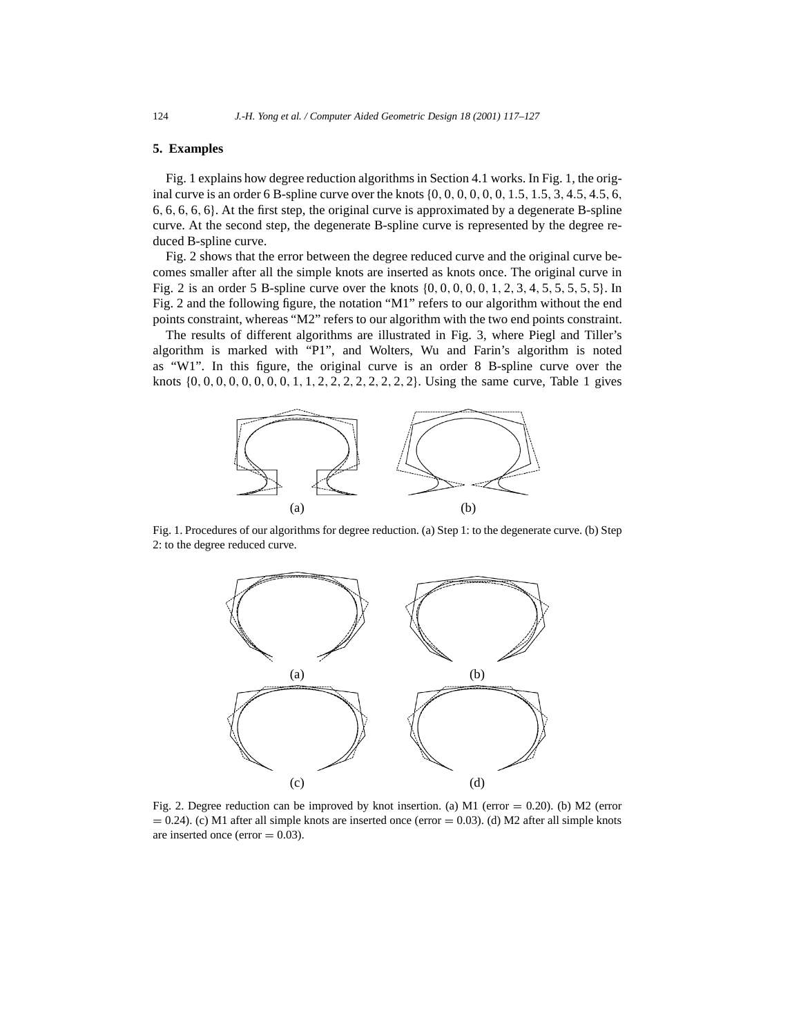# **5. Examples**

Fig. 1 explains how degree reduction algorithms in Section 4.1 works. In Fig. 1, the original curve is an order 6 B-spline curve over the knots {0*,* 0*,* 0*,* 0*,* 0*,* 0*,* 1*.*5*,* 1*.*5*,* 3*,* 4*.*5*,* 4*.*5*,* 6*,* 6*,* 6*,* 6*,* 6*,* 6}. At the first step, the original curve is approximated by a degenerate B-spline curve. At the second step, the degenerate B-spline curve is represented by the degree reduced B-spline curve.

Fig. 2 shows that the error between the degree reduced curve and the original curve becomes smaller after all the simple knots are inserted as knots once. The original curve in Fig. 2 is an order 5 B-spline curve over the knots {0*,* 0*,* 0*,* 0*,* 0*,* 1*,* 2*,* 3*,* 4*,* 5*,* 5*,* 5*,* 5*,* 5}. In Fig. 2 and the following figure, the notation "M1" refers to our algorithm without the end points constraint, whereas "M2" refers to our algorithm with the two end points constraint.

The results of different algorithms are illustrated in Fig. 3, where Piegl and Tiller's algorithm is marked with "P1", and Wolters, Wu and Farin's algorithm is noted as "W1". In this figure, the original curve is an order 8 B-spline curve over the knots {0*,* 0*,* 0*,* 0*,* 0*,* 0*,* 0*,* 0*,* 1*,* 1*,* 2*,* 2*,* 2*,* 2*,* 2*,* 2*,* 2*,* 2}. Using the same curve, Table 1 gives



Fig. 1. Procedures of our algorithms for degree reduction. (a) Step 1: to the degenerate curve. (b) Step 2: to the degree reduced curve.



Fig. 2. Degree reduction can be improved by knot insertion. (a) M1 (error = 0.20). (b) M2 (error  $= 0.24$ ). (c) M1 after all simple knots are inserted once (error  $= 0.03$ ). (d) M2 after all simple knots are inserted once (error  $= 0.03$ ).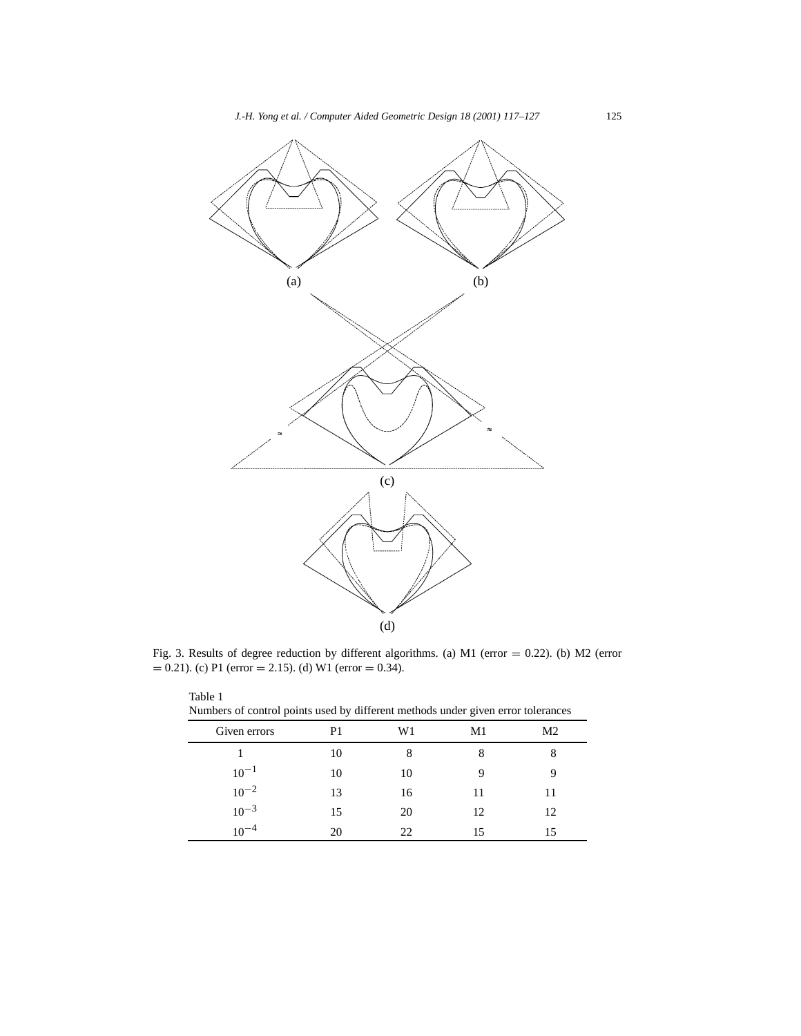

Fig. 3. Results of degree reduction by different algorithms. (a) M1 (error = 0.22). (b) M2 (error  $= 0.21$ . (c) P1 (error  $= 2.15$ ). (d) W1 (error  $= 0.34$ ).

| Numbers of control points used by different methods under given error tolerances |    |    |    |    |
|----------------------------------------------------------------------------------|----|----|----|----|
| Given errors                                                                     | P1 | W1 | M1 | M2 |
|                                                                                  | 10 |    |    |    |
| $10^{-1}$                                                                        | 10 | 10 |    |    |
| $10^{-2}$                                                                        | 13 | 16 | 11 | 11 |
| $10^{-3}$                                                                        | 15 | 20 | 12 | 12 |
| $10^{-4}$                                                                        | 20 | 22 | 15 | 15 |

Table 1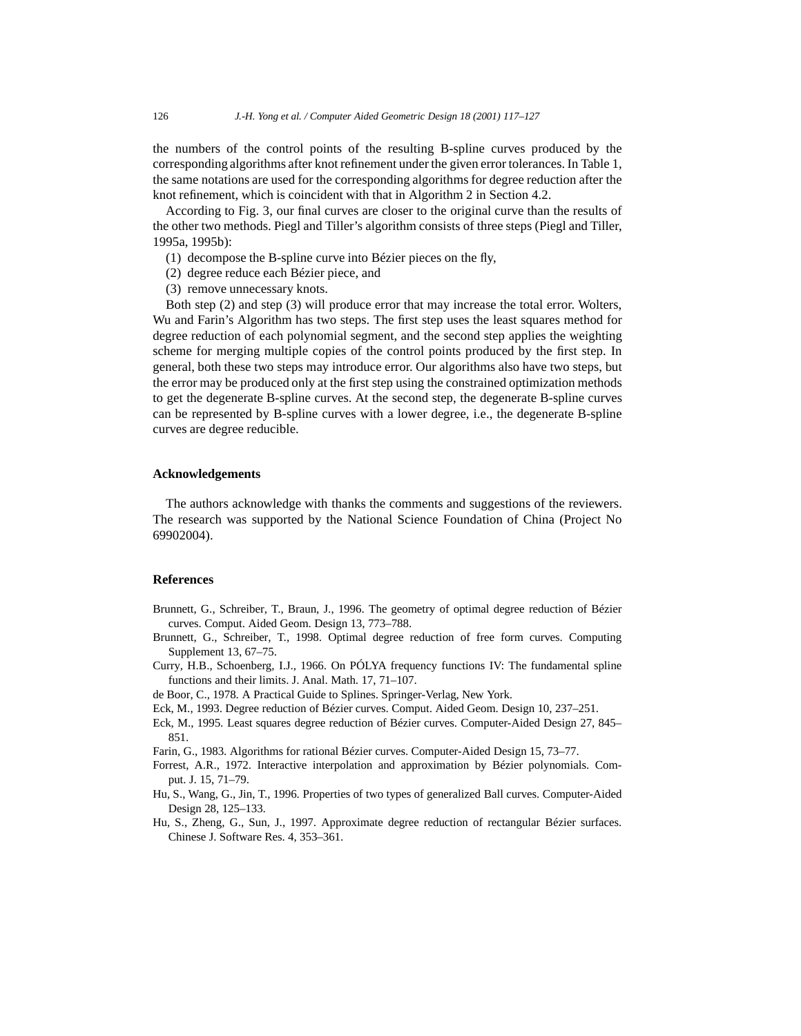the numbers of the control points of the resulting B-spline curves produced by the corresponding algorithms after knot refinement under the given error tolerances. In Table 1, the same notations are used for the corresponding algorithms for degree reduction after the knot refinement, which is coincident with that in Algorithm 2 in Section 4.2.

According to Fig. 3, our final curves are closer to the original curve than the results of the other two methods. Piegl and Tiller's algorithm consists of three steps (Piegl and Tiller, 1995a, 1995b):

- (1) decompose the B-spline curve into Bézier pieces on the fly,
- (2) degree reduce each Bézier piece, and
- (3) remove unnecessary knots.

Both step (2) and step (3) will produce error that may increase the total error. Wolters, Wu and Farin's Algorithm has two steps. The first step uses the least squares method for degree reduction of each polynomial segment, and the second step applies the weighting scheme for merging multiple copies of the control points produced by the first step. In general, both these two steps may introduce error. Our algorithms also have two steps, but the error may be produced only at the first step using the constrained optimization methods to get the degenerate B-spline curves. At the second step, the degenerate B-spline curves can be represented by B-spline curves with a lower degree, i.e., the degenerate B-spline curves are degree reducible.

## **Acknowledgements**

The authors acknowledge with thanks the comments and suggestions of the reviewers. The research was supported by the National Science Foundation of China (Project No 69902004).

## **References**

- Brunnett, G., Schreiber, T., Braun, J., 1996. The geometry of optimal degree reduction of Bézier curves. Comput. Aided Geom. Design 13, 773–788.
- Brunnett, G., Schreiber, T., 1998. Optimal degree reduction of free form curves. Computing Supplement 13, 67–75.
- Curry, H.B., Schoenberg, I.J., 1966. On PÓLYA frequency functions IV: The fundamental spline functions and their limits. J. Anal. Math. 17, 71–107.
- de Boor, C., 1978. A Practical Guide to Splines. Springer-Verlag, New York.
- Eck, M., 1993. Degree reduction of Bézier curves. Comput. Aided Geom. Design 10, 237–251.
- Eck, M., 1995. Least squares degree reduction of Bézier curves. Computer-Aided Design 27, 845– 851.
- Farin, G., 1983. Algorithms for rational Bézier curves. Computer-Aided Design 15, 73–77.
- Forrest, A.R., 1972. Interactive interpolation and approximation by Bézier polynomials. Comput. J. 15, 71–79.
- Hu, S., Wang, G., Jin, T., 1996. Properties of two types of generalized Ball curves. Computer-Aided Design 28, 125–133.
- Hu, S., Zheng, G., Sun, J., 1997. Approximate degree reduction of rectangular Bézier surfaces. Chinese J. Software Res. 4, 353–361.